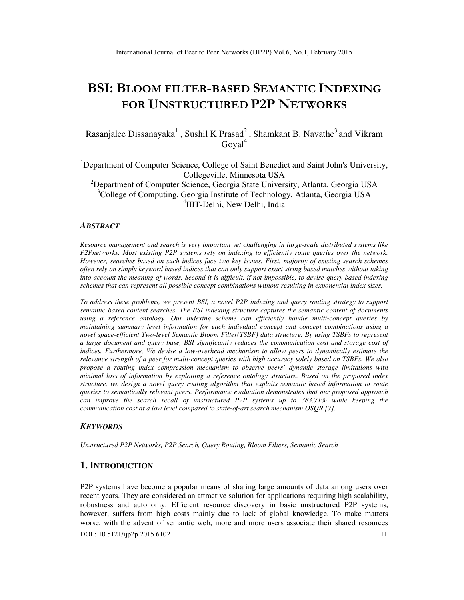# **BSI: BLOOM FILTER-BASED SEMANTIC INDEXING FOR UNSTRUCTURED P2P NETWORKS**

Rasanjalee Dissanayaka<sup>1</sup>, Sushil K Prasad<sup>2</sup>, Shamkant B. Navathe<sup>3</sup> and Vikram Goyal<sup>4</sup>

<sup>1</sup>Department of Computer Science, College of Saint Benedict and Saint John's University, Collegeville, Minnesota USA

<sup>2</sup>Department of Computer Science, Georgia State University, Atlanta, Georgia USA <sup>3</sup>College of Computing, Georgia Institute of Technology, Atlanta, Georgia USA 4 IIIT-Delhi, New Delhi, India

## *ABSTRACT*

*Resource management and search is very important yet challenging in large-scale distributed systems like P2Pnetworks. Most existing P2P systems rely on indexing to efficiently route queries over the network. However, searches based on such indices face two key issues. First, majority of existing search schemes often rely on simply keyword based indices that can only support exact string based matches without taking into account the meaning of words. Second it is difficult, if not impossible, to devise query based indexing schemes that can represent all possible concept combinations without resulting in exponential index sizes.* 

*To address these problems, we present BSI, a novel P2P indexing and query routing strategy to support semantic based content searches. The BSI indexing structure captures the semantic content of documents using a reference ontology. Our indexing scheme can efficiently handle multi-concept queries by maintaining summary level information for each individual concept and concept combinations using a novel space-efficient Two-level Semantic Bloom Filter(TSBF) data structure. By using TSBFs to represent a large document and query base, BSI significantly reduces the communication cost and storage cost of indices. Furthermore, We devise a low-overhead mechanism to allow peers to dynamically estimate the relevance strength of a peer for multi-concept queries with high accuracy solely based on TSBFs. We also propose a routing index compression mechanism to observe peers' dynamic storage limitations with minimal loss of information by exploiting a reference ontology structure. Based on the proposed index structure, we design a novel query routing algorithm that exploits semantic based information to route queries to semantically relevant peers. Performance evaluation demonstrates that our proposed approach* can improve the search recall of unstructured P2P systems up to 383.71% while keeping the *communication cost at a low level compared to state-of-art search mechanism OSQR [7].* 

## *KEYWORDS*

*Unstructured P2P Networks, P2P Search, Query Routing, Bloom Filters, Semantic Search* 

## **1. INTRODUCTION**

P2P systems have become a popular means of sharing large amounts of data among users over recent years. They are considered an attractive solution for applications requiring high scalability, robustness and autonomy. Efficient resource discovery in basic unstructured P2P systems, however, suffers from high costs mainly due to lack of global knowledge. To make matters worse, with the advent of semantic web, more and more users associate their shared resources

DOI : 10.5121/ijp2p.2015.6102 11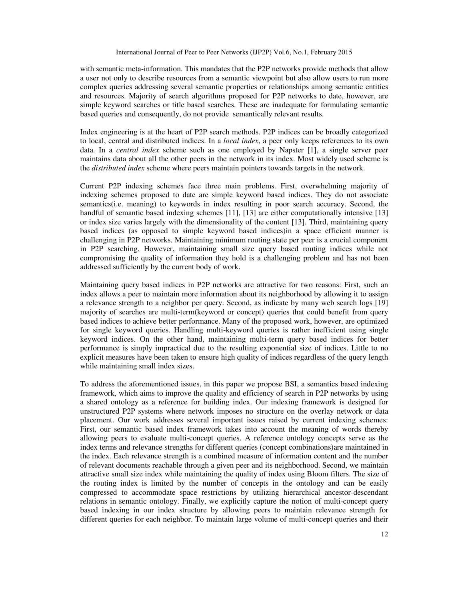with semantic meta-information. This mandates that the P2P networks provide methods that allow a user not only to describe resources from a semantic viewpoint but also allow users to run more complex queries addressing several semantic properties or relationships among semantic entities and resources. Majority of search algorithms proposed for P2P networks to date, however, are simple keyword searches or title based searches. These are inadequate for formulating semantic based queries and consequently, do not provide semantically relevant results.

Index engineering is at the heart of P2P search methods. P2P indices can be broadly categorized to local, central and distributed indices. In a *local index*, a peer only keeps references to its own data. In a *central index* scheme such as one employed by Napster [1], a single server peer maintains data about all the other peers in the network in its index. Most widely used scheme is the *distributed index* scheme where peers maintain pointers towards targets in the network.

Current P2P indexing schemes face three main problems. First, overwhelming majority of indexing schemes proposed to date are simple keyword based indices. They do not associate semantics(i.e. meaning) to keywords in index resulting in poor search accuracy. Second, the handful of semantic based indexing schemes [11], [13] are either computationally intensive [13] or index size varies largely with the dimensionality of the content [13]. Third, maintaining query based indices (as opposed to simple keyword based indices)in a space efficient manner is challenging in P2P networks. Maintaining minimum routing state per peer is a crucial component in P2P searching. However, maintaining small size query based routing indices while not compromising the quality of information they hold is a challenging problem and has not been addressed sufficiently by the current body of work.

Maintaining query based indices in P2P networks are attractive for two reasons: First, such an index allows a peer to maintain more information about its neighborhood by allowing it to assign a relevance strength to a neighbor per query. Second, as indicate by many web search logs [19] majority of searches are multi-term(keyword or concept) queries that could benefit from query based indices to achieve better performance. Many of the proposed work, however, are optimized for single keyword queries. Handling multi-keyword queries is rather inefficient using single keyword indices. On the other hand, maintaining multi-term query based indices for better performance is simply impractical due to the resulting exponential size of indices. Little to no explicit measures have been taken to ensure high quality of indices regardless of the query length while maintaining small index sizes.

To address the aforementioned issues, in this paper we propose BSI, a semantics based indexing framework, which aims to improve the quality and efficiency of search in P2P networks by using a shared ontology as a reference for building index. Our indexing framework is designed for unstructured P2P systems where network imposes no structure on the overlay network or data placement. Our work addresses several important issues raised by current indexing schemes: First, our semantic based index framework takes into account the meaning of words thereby allowing peers to evaluate multi-concept queries. A reference ontology concepts serve as the index terms and relevance strengths for different queries (concept combinations)are maintained in the index. Each relevance strength is a combined measure of information content and the number of relevant documents reachable through a given peer and its neighborhood. Second, we maintain attractive small size index while maintaining the quality of index using Bloom filters. The size of the routing index is limited by the number of concepts in the ontology and can be easily compressed to accommodate space restrictions by utilizing hierarchical ancestor-descendant relations in semantic ontology. Finally, we explicitly capture the notion of multi-concept query based indexing in our index structure by allowing peers to maintain relevance strength for different queries for each neighbor. To maintain large volume of multi-concept queries and their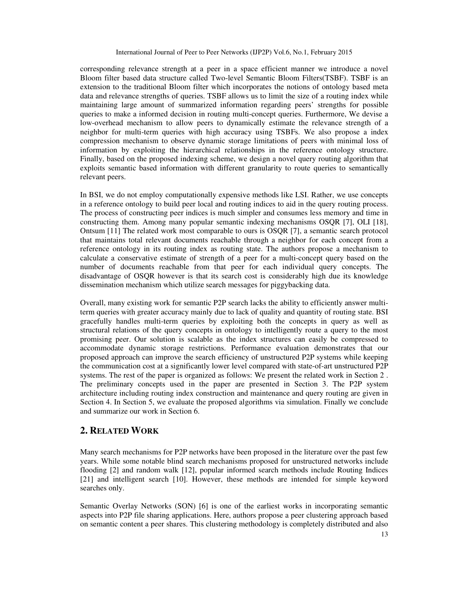corresponding relevance strength at a peer in a space efficient manner we introduce a novel Bloom filter based data structure called Two-level Semantic Bloom Filters(TSBF). TSBF is an extension to the traditional Bloom filter which incorporates the notions of ontology based meta data and relevance strengths of queries. TSBF allows us to limit the size of a routing index while maintaining large amount of summarized information regarding peers' strengths for possible queries to make a informed decision in routing multi-concept queries. Furthermore, We devise a low-overhead mechanism to allow peers to dynamically estimate the relevance strength of a neighbor for multi-term queries with high accuracy using TSBFs. We also propose a index compression mechanism to observe dynamic storage limitations of peers with minimal loss of information by exploiting the hierarchical relationships in the reference ontology structure. Finally, based on the proposed indexing scheme, we design a novel query routing algorithm that exploits semantic based information with different granularity to route queries to semantically relevant peers.

In BSI, we do not employ computationally expensive methods like LSI. Rather, we use concepts in a reference ontology to build peer local and routing indices to aid in the query routing process. The process of constructing peer indices is much simpler and consumes less memory and time in constructing them. Among many popular semantic indexing mechanisms OSQR [7], OLI [18], Ontsum [11] The related work most comparable to ours is OSQR [7], a semantic search protocol that maintains total relevant documents reachable through a neighbor for each concept from a reference ontology in its routing index as routing state. The authors propose a mechanism to calculate a conservative estimate of strength of a peer for a multi-concept query based on the number of documents reachable from that peer for each individual query concepts. The disadvantage of OSQR however is that its search cost is considerably high due its knowledge dissemination mechanism which utilize search messages for piggybacking data.

Overall, many existing work for semantic P2P search lacks the ability to efficiently answer multiterm queries with greater accuracy mainly due to lack of quality and quantity of routing state. BSI gracefully handles multi-term queries by exploiting both the concepts in query as well as structural relations of the query concepts in ontology to intelligently route a query to the most promising peer. Our solution is scalable as the index structures can easily be compressed to accommodate dynamic storage restrictions. Performance evaluation demonstrates that our proposed approach can improve the search efficiency of unstructured P2P systems while keeping the communication cost at a significantly lower level compared with state-of-art unstructured P2P systems. The rest of the paper is organized as follows: We present the related work in Section 2 . The preliminary concepts used in the paper are presented in Section 3. The P2P system architecture including routing index construction and maintenance and query routing are given in Section 4. In Section 5, we evaluate the proposed algorithms via simulation. Finally we conclude and summarize our work in Section 6.

# **2. RELATED WORK**

Many search mechanisms for P2P networks have been proposed in the literature over the past few years. While some notable blind search mechanisms proposed for unstructured networks include flooding [2] and random walk [12], popular informed search methods include Routing Indices [21] and intelligent search [10]. However, these methods are intended for simple keyword searches only.

Semantic Overlay Networks (SON) [6] is one of the earliest works in incorporating semantic aspects into P2P file sharing applications. Here, authors propose a peer clustering approach based on semantic content a peer shares. This clustering methodology is completely distributed and also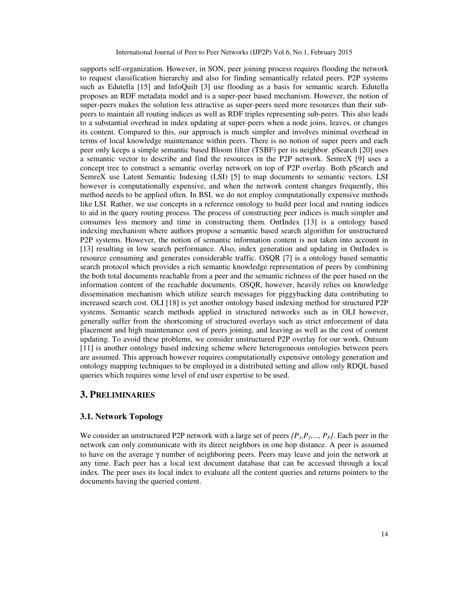supports self-organization. However, in SON, peer joining process requires flooding the network to request classification hierarchy and also for finding semantically related peers. P2P systems such as Edutella [15] and InfoQuilt [3] use flooding as a basis for semantic search. Edutella proposes an RDF metadata model and is a super-peer based mechanism. However, the notion of super-peers makes the solution less attractive as super-peers need more resources than their subpeers to maintain all routing indices as well as RDF triples representing sub-peers. This also leads to a substantial overhead in index updating at super-peers when a node joins, leaves, or changes its content. Compared to this, our approach is much simpler and involves minimal overhead in terms of local knowledge maintenance within peers. There is no notion of super peers and each peer only keeps a simple semantic based Bloom filter (TSBF) per its neighbor. pSearch [20] uses a semantic vector to describe and find the resources in the P2P network. SemreX [9] uses a concept tree to construct a semantic overlay network on top of P2P overlay. Both pSearch and SemreX use Latent Semantic Indexing (LSI) [5] to map documents to semantic vectors. LSI however is computationally expensive, and when the network content changes frequently, this method needs to be applied often. In BSI, we do not employ computationally expensive methods like LSI. Rather, we use concepts in a reference ontology to build peer local and routing indices to aid in the query routing process. The process of constructing peer indices is much simpler and consumes less memory and time in constructing them. OntIndex [13] is a ontology based indexing mechanism where authors propose a semantic based search algorithm for unstructured P2P systems. However, the notion of semantic information content is not taken into account in [13] resulting in low search performance. Also, index generation and updating in OntIndex is resource consuming and generates considerable traffic. OSQR [7] is a ontology based semantic search protocol which provides a rich semantic knowledge representation of peers by combining the both total documents reachable from a peer and the semantic richness of the peer based on the information content of the reachable documents. OSQR, however, heavily relies on knowledge dissemination mechanism which utilize search messages for piggybacking data contributing to increased search cost. OLI [18] is yet another ontology based indexing method for structured P2P systems. Semantic search methods applied in structured networks such as in OLI however, generally suffer from the shortcoming of structured overlays such as strict enforcement of data placement and high maintenance cost of peers joining, and leaving as well as the cost of content updating. To avoid these problems, we consider unstructured P2P overlay for our work. Ontsum [11] is another ontology based indexing scheme where heterogeneous ontologies between peers are assumed. This approach however requires computationally expensive ontology generation and ontology mapping techniques to be employed in a distributed setting and allow only RDQL based queries which requires some level of end user expertise to be used.

### **3. PRELIMINARIES**

## **3.1. Network Topology**

We consider an unstructured P2P network with a large set of peers  $\{P_1, P_2, ..., P_p\}$ . Each peer in the network can only communicate with its direct neighbors in one hop distance. A peer is assumed to have on the average γ number of neighboring peers. Peers may leave and join the network at any time. Each peer has a local text document database that can be accessed through a local index. The peer uses its local index to evaluate all the content queries and returns pointers to the documents having the queried content.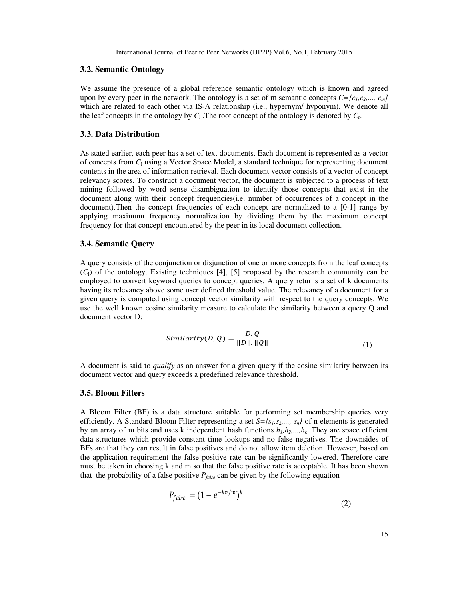### **3.2. Semantic Ontology**

We assume the presence of a global reference semantic ontology which is known and agreed upon by every peer in the network. The ontology is a set of m semantic concepts  $C=f(c_1,c_2,..., c_m)$ which are related to each other via IS-A relationship (i.e., hypernym/ hyponym). We denote all the leaf concepts in the ontology by  $C_1$ . The root concept of the ontology is denoted by  $C_r$ .

#### **3.3. Data Distribution**

As stated earlier, each peer has a set of text documents. Each document is represented as a vector of concepts from  $C_1$  using a Vector Space Model, a standard technique for representing document contents in the area of information retrieval. Each document vector consists of a vector of concept relevancy scores. To construct a document vector, the document is subjected to a process of text mining followed by word sense disambiguation to identify those concepts that exist in the document along with their concept frequencies(i.e. number of occurrences of a concept in the document).Then the concept frequencies of each concept are normalized to a [0-1] range by applying maximum frequency normalization by dividing them by the maximum concept frequency for that concept encountered by the peer in its local document collection.

#### **3.4. Semantic Query**

A query consists of the conjunction or disjunction of one or more concepts from the leaf concepts  $(C<sub>1</sub>)$  of the ontology. Existing techniques [4], [5] proposed by the research community can be employed to convert keyword queries to concept queries. A query returns a set of k documents having its relevancy above some user defined threshold value. The relevancy of a document for a given query is computed using concept vector similarity with respect to the query concepts. We use the well known cosine similarity measure to calculate the similarity between a query Q and document vector D:

$$
Similarity(D, Q) = \frac{D. Q}{\|D\|.\ \|Q\|} \tag{1}
$$

A document is said to *qualify* as an answer for a given query if the cosine similarity between its document vector and query exceeds a predefined relevance threshold.

## **3.5. Bloom Filters**

A Bloom Filter (BF) is a data structure suitable for performing set membership queries very efficiently. A Standard Bloom Filter representing a set  $S = \{s_1, s_2, \ldots, s_n\}$  of n elements is generated by an array of m bits and uses k independent hash functions  $h_l, h_2, \ldots, h_k$ . They are space efficient data structures which provide constant time lookups and no false negatives. The downsides of BFs are that they can result in false positives and do not allow item deletion. However, based on the application requirement the false positive rate can be significantly lowered. Therefore care must be taken in choosing k and m so that the false positive rate is acceptable. It has been shown that the probability of a false positive *Pfalse* can be given by the following equation

$$
P_{false} = (1 - e^{-kn/m})^k
$$
\n<sup>(2)</sup>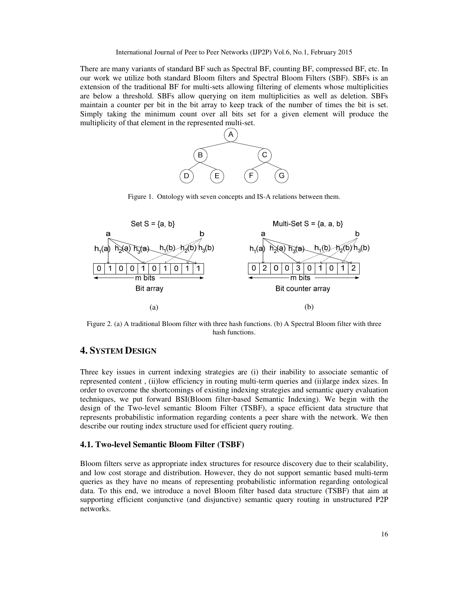There are many variants of standard BF such as Spectral BF, counting BF, compressed BF, etc. In our work we utilize both standard Bloom filters and Spectral Bloom Filters (SBF). SBFs is an extension of the traditional BF for multi-sets allowing filtering of elements whose multiplicities are below a threshold. SBFs allow querying on item multiplicities as well as deletion. SBFs maintain a counter per bit in the bit array to keep track of the number of times the bit is set. Simply taking the minimum count over all bits set for a given element will produce the multiplicity of that element in the represented multi-set.



Figure 1. Ontology with seven concepts and IS-A relations between them.



Figure 2. (a) A traditional Bloom filter with three hash functions. (b) A Spectral Bloom filter with three hash functions.

# **4. SYSTEM DESIGN**

Three key issues in current indexing strategies are (i) their inability to associate semantic of represented content , (ii)low efficiency in routing multi-term queries and (ii)large index sizes. In order to overcome the shortcomings of existing indexing strategies and semantic query evaluation techniques, we put forward BSI(Bloom filter-based Semantic Indexing). We begin with the design of the Two-level semantic Bloom Filter (TSBF), a space efficient data structure that represents probabilistic information regarding contents a peer share with the network. We then describe our routing index structure used for efficient query routing.

#### **4.1. Two-level Semantic Bloom Filter (TSBF)**

Bloom filters serve as appropriate index structures for resource discovery due to their scalability, and low cost storage and distribution. However, they do not support semantic based multi-term queries as they have no means of representing probabilistic information regarding ontological data. To this end, we introduce a novel Bloom filter based data structure (TSBF) that aim at supporting efficient conjunctive (and disjunctive) semantic query routing in unstructured P2P networks.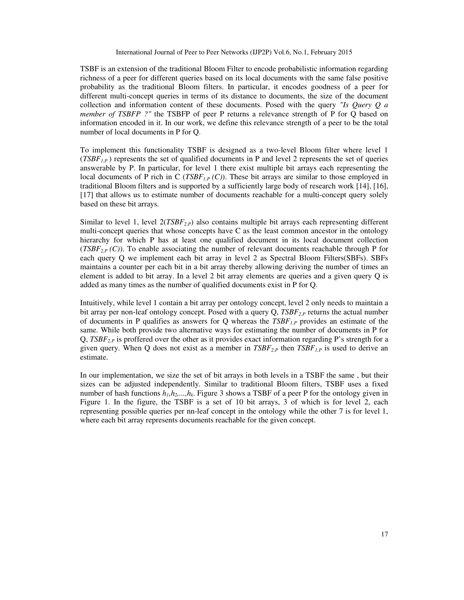TSBF is an extension of the traditional Bloom Filter to encode probabilistic information regarding richness of a peer for different queries based on its local documents with the same false positive probability as the traditional Bloom filters. In particular, it encodes goodness of a peer for different multi-concept queries in terms of its distance to documents, the size of the document collection and information content of these documents. Posed with the query *"Is Query Q a member of TSBFP ?"* the TSBFP of peer P returns a relevance strength of P for Q based on information encoded in it. In our work, we define this relevance strength of a peer to be the total number of local documents in P for Q.

To implement this functionality TSBF is designed as a two-level Bloom filter where level 1  $(TSBF_{IP})$  represents the set of qualified documents in P and level 2 represents the set of queries answerable by P. In particular, for level 1 there exist multiple bit arrays each representing the local documents of P rich in C (*TSBF<sub>1,P</sub>*  $(C)$ ). These bit arrays are similar to those employed in traditional Bloom filters and is supported by a sufficiently large body of research work [14], [16], [17] that allows us to estimate number of documents reachable for a multi-concept query solely based on these bit arrays.

Similar to level 1, level 2(*TSBF2,P*) also contains multiple bit arrays each representing different multi-concept queries that whose concepts have C as the least common ancestor in the ontology hierarchy for which P has at least one qualified document in its local document collection (*TSBF*<sub>2,P</sub>  $(C)$ ). To enable associating the number of relevant documents reachable through P for each query Q we implement each bit array in level 2 as Spectral Bloom Filters(SBFs). SBFs maintains a counter per each bit in a bit array thereby allowing deriving the number of times an element is added to bit array. In a level 2 bit array elements are queries and a given query Q is added as many times as the number of qualified documents exist in P for Q.

Intuitively, while level 1 contain a bit array per ontology concept, level 2 only needs to maintain a bit array per non-leaf ontology concept. Posed with a query Q, *TSBF*<sub>2,P</sub> returns the actual number of documents in P qualifies as answers for Q whereas the *TSBF1,P* provides an estimate of the same. While both provide two alternative ways for estimating the number of documents in P for Q, *TSBF*<sub>2</sub> $<sub>P</sub>$  is proffered over the other as it provides exact information regarding P's strength for a</sub> given query. When Q does not exist as a member in  $TSBF_{2,P}$  then  $TSBF_{1,P}$  is used to derive an estimate.

In our implementation, we size the set of bit arrays in both levels in a TSBF the same , but their sizes can be adjusted independently. Similar to traditional Bloom filters, TSBF uses a fixed number of hash functions *h1,h2,...,hk*. Figure 3 shows a TSBF of a peer P for the ontology given in Figure 1. In the figure, the TSBF is a set of 10 bit arrays, 3 of which is for level 2, each representing possible queries per nn-leaf concept in the ontology while the other 7 is for level 1, where each bit array represents documents reachable for the given concept.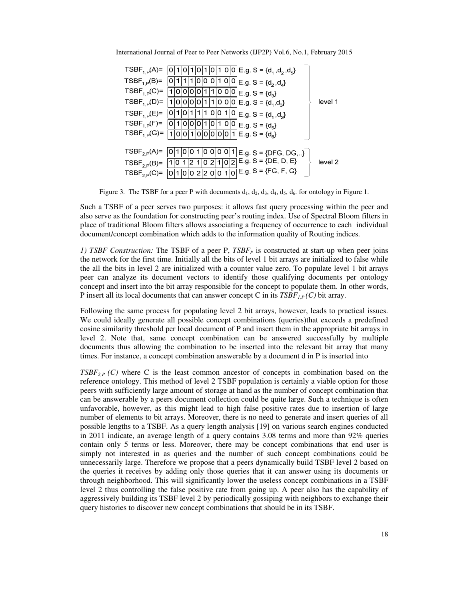| International Journal of Peer to Peer Networks (IJP2P) Vol.6, No.1, February 2015 |  |  |  |  |  |
|-----------------------------------------------------------------------------------|--|--|--|--|--|
|-----------------------------------------------------------------------------------|--|--|--|--|--|

| $TSBF_{1,P}(A)=$  | $1 0 1 0 1 0 1 0 0 E.g. S = {d_1, d_2, d_5}$<br>0                                                                               |         |
|-------------------|---------------------------------------------------------------------------------------------------------------------------------|---------|
| $TSBF_{1,P}(B)=$  | $1 1 1 0 0 0 1 0 0 E.g. S = {d_2, d_4}$<br>o                                                                                    |         |
| $TSBF_{1,P}(C)=$  | $\overline{O O O O 1 1 O O O E.g. S} = \{d_3\}$                                                                                 |         |
| $TSBF_{1,P}(D)=$  | $ 1 0 0 0 $ E.g. S = {d <sub>1</sub> ,d <sub>3</sub> }<br>$\left  0 \right  \left  0 \right  \left  0 \right  \left  1 \right $ | level 1 |
| $TSBF_{1,P}(E) =$ | $1 0 1 1 1 0 0 1 0 E.g. S = {d1, d2}$<br>o                                                                                      |         |
| $TSBF_{1,P}(F)=$  | $\overline{ 0 1 0 0 0 1 0 1 0 0 }$ E.g. S = {d <sub>5</sub> }                                                                   |         |
| $TSBF_{1,P}(G) =$ | $1 0 0 1 0 0 0 0 1 E.g. S = {d_0}$                                                                                              |         |
|                   |                                                                                                                                 |         |
| $TSBF_{2,P}(A)=$  | 0 1 0 0 0 0 1 E.g. S = {DFG, DG,}<br>υı<br>υ                                                                                    |         |
| $TSBF_{2,P}(B)=$  | $ 0 2$ E.g. S = {DE, D, E}<br>2 1 <br>2 1 0<br>0                                                                                | level 2 |
| $TSBF_{2,P}(C)=$  | $ 0 0 1 0 $ E.g. S = {FG, F, G}<br>0 2 2 <br>0                                                                                  |         |

Figure 3. The TSBF for a peer P with documents  $d_1$ ,  $d_2$ ,  $d_3$ ,  $d_4$ ,  $d_5$ ,  $d_6$ . for ontology in Figure 1.

Such a TSBF of a peer serves two purposes: it allows fast query processing within the peer and also serve as the foundation for constructing peer's routing index. Use of Spectral Bloom filters in place of traditional Bloom filters allows associating a frequency of occurrence to each individual document/concept combination which adds to the information quality of Routing indices.

*1) TSBF Construction:* The TSBF of a peer P, *TSBFP* is constructed at start-up when peer joins the network for the first time. Initially all the bits of level 1 bit arrays are initialized to false while the all the bits in level 2 are initialized with a counter value zero. To populate level 1 bit arrays peer can analyze its document vectors to identify those qualifying documents per ontology concept and insert into the bit array responsible for the concept to populate them. In other words, P insert all its local documents that can answer concept C in its  $TSBF_{LP}(C)$  bit array.

Following the same process for populating level 2 bit arrays, however, leads to practical issues. We could ideally generate all possible concept combinations (queries)that exceeds a predefined cosine similarity threshold per local document of P and insert them in the appropriate bit arrays in level 2. Note that, same concept combination can be answered successfully by multiple documents thus allowing the combination to be inserted into the relevant bit array that many times. For instance, a concept combination answerable by a document d in P is inserted into

*TSBF*<sub>2,P</sub> (C) where C is the least common ancestor of concepts in combination based on the reference ontology. This method of level 2 TSBF population is certainly a viable option for those peers with sufficiently large amount of storage at hand as the number of concept combination that can be answerable by a peers document collection could be quite large. Such a technique is often unfavorable, however, as this might lead to high false positive rates due to insertion of large number of elements to bit arrays. Moreover, there is no need to generate and insert queries of all possible lengths to a TSBF. As a query length analysis [19] on various search engines conducted in 2011 indicate, an average length of a query contains 3.08 terms and more than 92% queries contain only 5 terms or less. Moreover, there may be concept combinations that end user is simply not interested in as queries and the number of such concept combinations could be unnecessarily large. Therefore we propose that a peers dynamically build TSBF level 2 based on the queries it receives by adding only those queries that it can answer using its documents or through neighborhood. This will significantly lower the useless concept combinations in a TSBF level 2 thus controlling the false positive rate from going up. A peer also has the capability of aggressively building its TSBF level 2 by periodically gossiping with neighbors to exchange their query histories to discover new concept combinations that should be in its TSBF.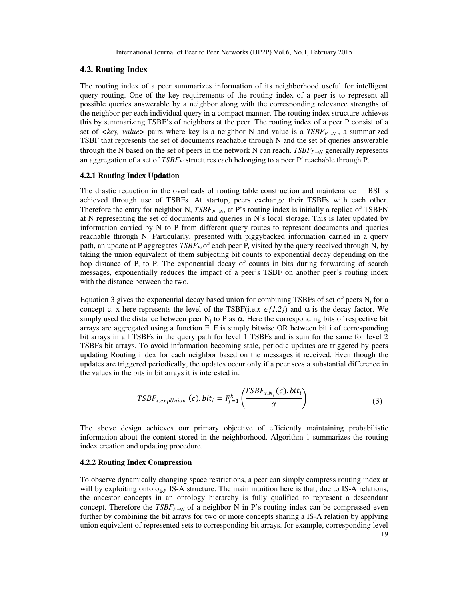### **4.2. Routing Index**

The routing index of a peer summarizes information of its neighborhood useful for intelligent query routing. One of the key requirements of the routing index of a peer is to represent all possible queries answerable by a neighbor along with the corresponding relevance strengths of the neighbor per each individual query in a compact manner. The routing index structure achieves this by summarizing TSBF's of neighbors at the peer. The routing index of a peer P consist of a set of  $\langle \text{key}, \text{value} \rangle$  pairs where key is a neighbor N and value is a  $TSBF_{P\rightarrow N}$ , a summarized TSBF that represents the set of documents reachable through N and the set of queries answerable through the N based on the set of peers in the network N can reach.  $TSBF_{P\rightarrow N}$  generally represents an aggregation of a set of *TSBF<sub>P</sub>* structures each belonging to a peer P' reachable through P.

## **4.2.1 Routing Index Updation**

The drastic reduction in the overheads of routing table construction and maintenance in BSI is achieved through use of TSBFs. At startup, peers exchange their TSBFs with each other. Therefore the entry for neighbor N,  $TSBF_{P\rightarrow N}$ , at P's routing index is initially a replica of TSBFN at N representing the set of documents and queries in N's local storage. This is later updated by information carried by N to P from different query routes to represent documents and queries reachable through N. Particularly, presented with piggybacked information carried in a query path, an update at P aggregates *TSBF*<sub>Pi</sub> of each peer P<sub>i</sub> visited by the query received through N, by taking the union equivalent of them subjecting bit counts to exponential decay depending on the hop distance of  $P_i$  to P. The exponential decay of counts in bits during forwarding of search messages, exponentially reduces the impact of a peer's TSBF on another peer's routing index with the distance between the two.

Equation 3 gives the exponential decay based union for combining TSBFs of set of peers  $N_j$  for a concept c. x here represents the level of the TSBF(i.e.x  $\epsilon$ *{1,2}*) and  $\alpha$  is the decay factor. We simply used the distance between peer  $N_j$  to P as  $\alpha$ . Here the corresponding bits of respective bit arrays are aggregated using a function F. F is simply bitwise OR between bit i of corresponding bit arrays in all TSBFs in the query path for level 1 TSBFs and is sum for the same for level 2 TSBFs bit arrays. To avoid information becoming stale, periodic updates are triggered by peers updating Routing index for each neighbor based on the messages it received. Even though the updates are triggered periodically, the updates occur only if a peer sees a substantial difference in the values in the bits in bit arrays it is interested in.

$$
TSBF_{x,expUnion}(c).bit_i = F_{j=1}^k \left( \frac{TSBF_{x.N_j}(c).bit_i}{\alpha} \right)
$$
 (3)

The above design achieves our primary objective of efficiently maintaining probabilistic information about the content stored in the neighborhood. Algorithm 1 summarizes the routing index creation and updating procedure.

## **4.2.2 Routing Index Compression**

19 To observe dynamically changing space restrictions, a peer can simply compress routing index at will by exploiting ontology IS-A structure. The main intuition here is that, due to IS-A relations, the ancestor concepts in an ontology hierarchy is fully qualified to represent a descendant concept. Therefore the  $TSBF_{P\rightarrow N}$  of a neighbor N in P's routing index can be compressed even further by combining the bit arrays for two or more concepts sharing a IS-A relation by applying union equivalent of represented sets to corresponding bit arrays. for example, corresponding level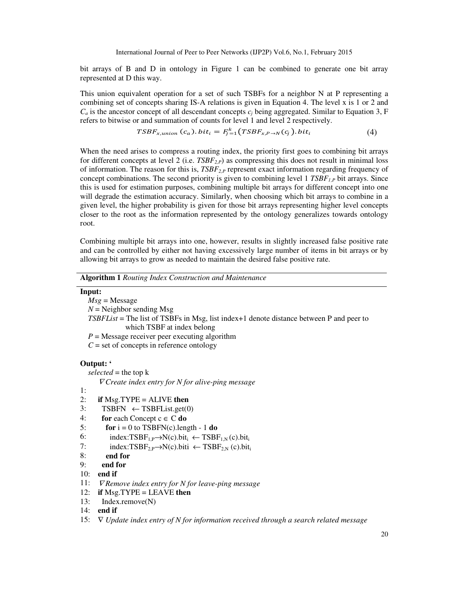bit arrays of B and D in ontology in Figure 1 can be combined to generate one bit array represented at D this way.

This union equivalent operation for a set of such TSBFs for a neighbor N at P representing a combining set of concepts sharing IS-A relations is given in Equation 4. The level x is 1 or 2 and  $C_a$  is the ancestor concept of all descendant concepts  $c_i$  being aggregated. Similar to Equation 3, F refers to bitwise or and summation of counts for level 1 and level 2 respectively.

$$
TSBF_{x,union}(c_a).bit_i = F_{j=1}^k(TSBF_{x,P\to N}(c_j).bit_i
$$
\n(4)

When the need arises to compress a routing index, the priority first goes to combining bit arrays for different concepts at level 2 (i.e. *TSBF2,P*) as compressing this does not result in minimal loss of information. The reason for this is, *TSBF*<sub>2P</sub> represent exact information regarding frequency of concept combinations. The second priority is given to combining level 1  $TSBF_{LP}$  bit arrays. Since this is used for estimation purposes, combining multiple bit arrays for different concept into one will degrade the estimation accuracy. Similarly, when choosing which bit arrays to combine in a given level, the higher probability is given for those bit arrays representing higher level concepts closer to the root as the information represented by the ontology generalizes towards ontology root.

Combining multiple bit arrays into one, however, results in slightly increased false positive rate and can be controlled by either not having excessively large number of items in bit arrays or by allowing bit arrays to grow as needed to maintain the desired false positive rate.

**Algorithm 1** *Routing Index Construction and Maintenance*

## **Input:**

 *Msg* = Message  $N =$  Neighbor sending Msg *TSBFList* = The list of TSBFs in Msg, list index+1 denote distance between P and peer to which TSBF at index belong  $P =$  Message receiver peer executing algorithm  $C =$  set of concepts in reference ontology

## **Output: '**

 $selected =$  the top  $k$ 

<sup>∇</sup> *Create index entry for N for alive-ping message* 

- 1:
- 2: **if** Msg.TYPE = ALIVE **then**
- 3: TSBFN  $\leftarrow$  TSBFList.get(0)
- 4: **for** each Concept  $c \in C$  **do**
- 5: **for**  $i = 0$  to TSBFN(c).length 1 **do**
- 6: index:TSBF<sub>1,P</sub>→N(c).bit<sub>i</sub> ← TSBF<sub>1,N</sub>(c).bit<sub>i</sub>
- 7: index: $TSBF_{2,P} \rightarrow N(c)$ .biti ←  $TSBF_{2,N}(c)$ .bit<sub>i</sub>

```
8: end for
```

```
9: end for
```
- 10: **end if**
- 11: *VRemove index entry for N for leave-ping message*
- 12: **if** Msg.TYPE = LEAVE **then**
- 13: Index.remove(N)
- 14: **end if**
- 15: ∇ *Update index entry of N for information received through a search related message*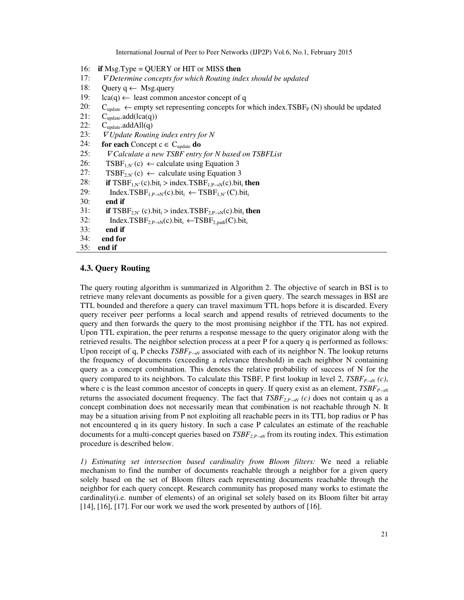- 16: **if** Msg.Type = QUERY or HIT or MISS **then**
- 17: *VDetermine concepts for which Routing index should be updated*
- 18: Query  $q \leftarrow$  Msg.query
- 19:  $lca(q) \leftarrow$  least common ancestor concept of q
- 20:  $C_{update} \leftarrow empty set representing concepts for which index.TSBF<sub>P</sub> (N) should be updated 21:  $C_{update}.add(lca(q))$$
- 21:  $C_{update}.add(lea(q))$ <br>22:  $C_{update}.addAll(q)$
- $C_{\text{update}}$ .addAll $(q)$
- 23: <sup>∇</sup> *Update Routing index entry for N*
- 24: **for each** Concept  $c \in C_{update}$  **do**
- 25: ∇ *Calculate a new TSBF entry for N based on TSBFList*
- 26: TSBF<sub>1,N'</sub>(c)  $\leftarrow$  calculate using Equation 3
- 27: TSBF<sub>2,N'</sub>(c)  $\leftarrow$  calculate using Equation 3
- 28: **if**  $TSBF_{1,N'}(c)$ .bit<sub>i</sub> > index.TSBF<sub>1,P→N</sub>(c).bit<sub>i</sub> **then**<br>29: Index.TSBF<sub>1,P→N</sub>(c).bit<sub>i</sub>  $\leftarrow$  TSBF<sub>1,N'</sub>(C).bit<sub>i</sub>
- 29: Index.TSBF<sub>1,P→N</sub>′(c).bit<sub>i</sub> ← TSBF<sub>1,N′</sub>(C).bit<sub>i</sub>
- 30: **end if**
- 31: **if**  $TSBF_{2,N'}(c)$ .bit<sub>i</sub> > index.TSBF<sub>2,P→N</sub>(c).bit<sub>i</sub> then
- 32: Index.TSBF<sub>2,P→N</sub>(c).bit<sub>i</sub> ←TSBF<sub>2,path</sub>(C).bit<sub>i</sub>
- 33: **end if**
- 34: **end for**
- 35: **end if**

## **4.3. Query Routing**

The query routing algorithm is summarized in Algorithm 2. The objective of search in BSI is to retrieve many relevant documents as possible for a given query. The search messages in BSI are TTL bounded and therefore a query can travel maximum TTL hops before it is discarded. Every query receiver peer performs a local search and append results of retrieved documents to the query and then forwards the query to the most promising neighbor if the TTL has not expired. Upon TTL expiration, the peer returns a response message to the query originator along with the retrieved results. The neighbor selection process at a peer P for a query q is performed as follows: Upon receipt of q, P checks  $TSBF_{P\rightarrow N}$  associated with each of its neighbor N. The lookup returns the frequency of documents (exceeding a relevance threshold) in each neighbor N containing query as a concept combination. This denotes the relative probability of success of N for the query compared to its neighbors. To calculate this TSBF, P first lookup in level 2,  $TSBF_{P\rightarrow N}(c)$ , where c is the least common ancestor of concepts in query. If query exist as an element,  $TSBF_{P\rightarrow N}$ returns the associated document frequency. The fact that  $TSBF_{2,P\rightarrow N}(c)$  does not contain q as a concept combination does not necessarily mean that combination is not reachable through N. It may be a situation arising from P not exploiting all reachable peers in its TTL hop radius or P has not encountered q in its query history. In such a case P calculates an estimate of the reachable documents for a multi-concept queries based on  $TSBF_{2,P\rightarrow N}$  from its routing index. This estimation procedure is described below.

*1) Estimating set intersection based cardinality from Bloom filters:* We need a reliable mechanism to find the number of documents reachable through a neighbor for a given query solely based on the set of Bloom filters each representing documents reachable through the neighbor for each query concept. Research community has proposed many works to estimate the cardinality(i.e. number of elements) of an original set solely based on its Bloom filter bit array [14], [16], [17]. For our work we used the work presented by authors of [16].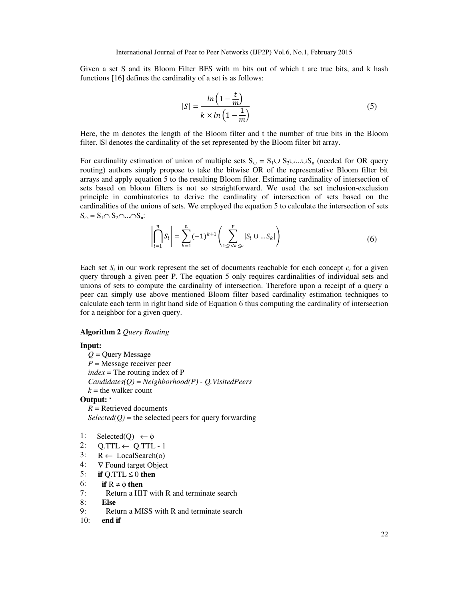Given a set S and its Bloom Filter BFS with m bits out of which t are true bits, and k hash functions [16] defines the cardinality of a set is as follows:

$$
|S| = \frac{\ln\left(1 - \frac{t}{m}\right)}{k \times \ln\left(1 - \frac{1}{m}\right)}\tag{5}
$$

Here, the m denotes the length of the Bloom filter and t the number of true bits in the Bloom filter. ISI denotes the cardinality of the set represented by the Bloom filter bit array.

For cardinality estimation of union of multiple sets  $S_{\cup} = S_1 \cup S_2 \cup ... \cup S_n$  (needed for OR query routing) authors simply propose to take the bitwise OR of the representative Bloom filter bit arrays and apply equation 5 to the resulting Bloom filter. Estimating cardinality of intersection of sets based on bloom filters is not so straightforward. We used the set inclusion-exclusion principle in combinatorics to derive the cardinality of intersection of sets based on the cardinalities of the unions of sets. We employed the equation 5 to calculate the intersection of sets  $S_{\cap} = S_1 \cap S_2 \cap ... \cap S_n$ :

$$
\left| \bigcap_{i=1}^{n} S_{i} \right| = \sum_{k=1}^{n} (-1)^{k+1} \left( \sum_{1 \leq i < k \leq n}^{v} |S_{i} \cup ... S_{k}| \right) \tag{6}
$$

Each set  $S_i$  in our work represent the set of documents reachable for each concept  $c_i$  for a given query through a given peer P. The equation 5 only requires cardinalities of individual sets and unions of sets to compute the cardinality of intersection. Therefore upon a receipt of a query a peer can simply use above mentioned Bloom filter based cardinality estimation techniques to calculate each term in right hand side of Equation 6 thus computing the cardinality of intersection for a neighbor for a given query.

#### **Algorithm 2** *Query Routing*

# **Input:**  *Q* = Query Message *P* = Message receiver peer  $index = The routing index of P$  *Candidates(Q)* = *Neighborhood(P) - Q.VisitedPeers*  $k =$  the walker count **Output: '**   $R$  = Retrieved documents  $Selected(Q)$  = the selected peers for query forwarding 1: Selected(O)  $\leftarrow \phi$

- 
- 2:  $Q \text{.} TTL \leftarrow Q \text{.} TTL 1$
- 3:  $R \leftarrow \text{LocalSearch}(o)$
- 4: ∇ Found target Object
- 5: **if** Q.TTL  $\leq 0$  then
- 6: **if**  $R \neq \emptyset$  **then**
- 7: Return a HIT with R and terminate search
- 8: **Else**
- 9: Return a MISS with R and terminate search
- 10: **end if**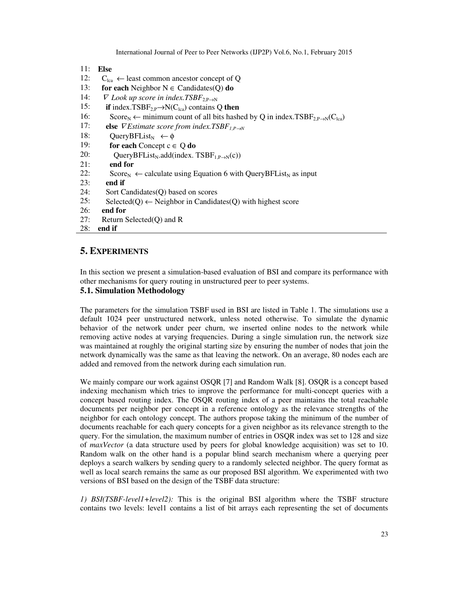- 11: **Else**
- 12:  $C_{1ca} \leftarrow$  least common ancestor concept of Q
- 13: **for each** Neighbor  $N \in$  Candidates(Q) **do**
- 14:  $\nabla$  *Look up score in index.TSBF*<sub>2 P→N</sub>
- 15: **if** index.TSBF<sub>2,P</sub>→N(C<sub>lca</sub>) contains Q **then**<br>16: Score<sub>N</sub>  $\leftarrow$  minimum count of all bits hash
- Score<sub>N</sub> ← minimum count of all bits hashed by Q in index.TSBF<sub>2.P→N</sub>(C<sub>lca</sub>)
- 17: **else**  $∇$  *Estimate score from index.TSBF*<sub>*I.P→N*</sub>
- 18: QueryBFList<sub>N</sub>  $\leftarrow \phi$
- 19: **for each** Concept  $c \in Q$  **do**
- 20: QueryBFList<sub>N</sub>.add(index. TSBF<sub>1,P→N</sub>(c))
- 21: **end for**
- 22: Score<sub>N</sub> ← calculate using Equation 6 with QueryBFList<sub>N</sub> as input **end if**
- end if
- 24: Sort Candidates(Q) based on scores
- 25: Selected(Q)  $\leftarrow$  Neighbor in Candidates(Q) with highest score
- 26: **end for**
- 27: Return Selected(Q) and R
- 28: **end if**

## **5. EXPERIMENTS**

In this section we present a simulation-based evaluation of BSI and compare its performance with other mechanisms for query routing in unstructured peer to peer systems.

# **5.1. Simulation Methodology**

The parameters for the simulation TSBF used in BSI are listed in Table 1. The simulations use a default 1024 peer unstructured network, unless noted otherwise. To simulate the dynamic behavior of the network under peer churn, we inserted online nodes to the network while removing active nodes at varying frequencies. During a single simulation run, the network size was maintained at roughly the original starting size by ensuring the number of nodes that join the network dynamically was the same as that leaving the network. On an average, 80 nodes each are added and removed from the network during each simulation run.

We mainly compare our work against OSQR [7] and Random Walk [8]. OSQR is a concept based indexing mechanism which tries to improve the performance for multi-concept queries with a concept based routing index. The OSQR routing index of a peer maintains the total reachable documents per neighbor per concept in a reference ontology as the relevance strengths of the neighbor for each ontology concept. The authors propose taking the minimum of the number of documents reachable for each query concepts for a given neighbor as its relevance strength to the query. For the simulation, the maximum number of entries in OSQR index was set to 128 and size of *maxVector* (a data structure used by peers for global knowledge acquisition) was set to 10. Random walk on the other hand is a popular blind search mechanism where a querying peer deploys a search walkers by sending query to a randomly selected neighbor. The query format as well as local search remains the same as our proposed BSI algorithm. We experimented with two versions of BSI based on the design of the TSBF data structure:

*1) BSI(TSBF-level1+level2):* This is the original BSI algorithm where the TSBF structure contains two levels: level1 contains a list of bit arrays each representing the set of documents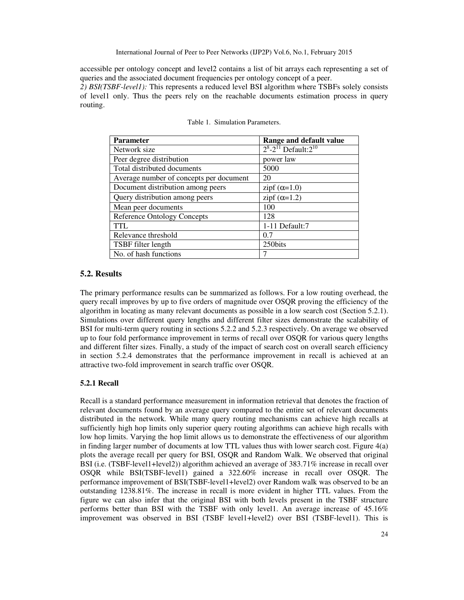accessible per ontology concept and level2 contains a list of bit arrays each representing a set of queries and the associated document frequencies per ontology concept of a peer.

*2) BSI(TSBF-level1):* This represents a reduced level BSI algorithm where TSBFs solely consists of level1 only. Thus the peers rely on the reachable documents estimation process in query routing.

| <b>Parameter</b>                        | Range and default value          |  |
|-----------------------------------------|----------------------------------|--|
| Network size                            | $2^8 - 2^{11}$ Default: $2^{10}$ |  |
| Peer degree distribution                | power law                        |  |
| Total distributed documents             | 5000                             |  |
| Average number of concepts per document | 20                               |  |
| Document distribution among peers       | zipf $(\alpha=1.0)$              |  |
| Query distribution among peers          | zipf $(\alpha=1.2)$              |  |
| Mean peer documents                     | 100                              |  |
| <b>Reference Ontology Concepts</b>      | 128                              |  |
| <b>TTL</b>                              | 1-11 Default:7                   |  |
| Relevance threshold                     | 0.7                              |  |
| TSBF filter length                      | 250bits                          |  |
| No. of hash functions                   | 7                                |  |

|  |  | Table 1. Simulation Parameters. |
|--|--|---------------------------------|
|--|--|---------------------------------|

#### **5.2. Results**

The primary performance results can be summarized as follows. For a low routing overhead, the query recall improves by up to five orders of magnitude over OSQR proving the efficiency of the algorithm in locating as many relevant documents as possible in a low search cost (Section 5.2.1). Simulations over different query lengths and different filter sizes demonstrate the scalability of BSI for multi-term query routing in sections 5.2.2 and 5.2.3 respectively. On average we observed up to four fold performance improvement in terms of recall over OSQR for various query lengths and different filter sizes. Finally, a study of the impact of search cost on overall search efficiency in section 5.2.4 demonstrates that the performance improvement in recall is achieved at an attractive two-fold improvement in search traffic over OSQR.

## **5.2.1 Recall**

Recall is a standard performance measurement in information retrieval that denotes the fraction of relevant documents found by an average query compared to the entire set of relevant documents distributed in the network. While many query routing mechanisms can achieve high recalls at sufficiently high hop limits only superior query routing algorithms can achieve high recalls with low hop limits. Varying the hop limit allows us to demonstrate the effectiveness of our algorithm in finding larger number of documents at low TTL values thus with lower search cost. Figure 4(a) plots the average recall per query for BSI, OSQR and Random Walk. We observed that original BSI (i.e. (TSBF-level1+level2)) algorithm achieved an average of 383.71% increase in recall over OSQR while BSI(TSBF-level1) gained a 322.60% increase in recall over OSQR. The performance improvement of BSI(TSBF-level1+level2) over Random walk was observed to be an outstanding 1238.81%. The increase in recall is more evident in higher TTL values. From the figure we can also infer that the original BSI with both levels present in the TSBF structure performs better than BSI with the TSBF with only level1. An average increase of 45.16% improvement was observed in BSI (TSBF level1+level2) over BSI (TSBF-level1). This is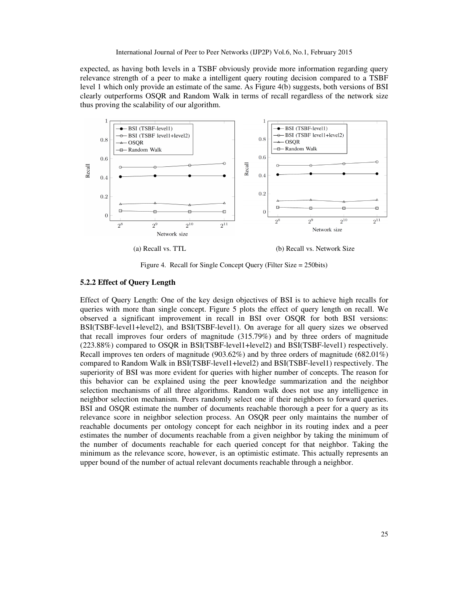expected, as having both levels in a TSBF obviously provide more information regarding query relevance strength of a peer to make a intelligent query routing decision compared to a TSBF level 1 which only provide an estimate of the same. As Figure 4(b) suggests, both versions of BSI clearly outperforms OSQR and Random Walk in terms of recall regardless of the network size thus proving the scalability of our algorithm.



(a) Recall vs. TTL (b) Recall vs. Network Size

Figure 4. Recall for Single Concept Query (Filter Size = 250bits)

#### **5.2.2 Effect of Query Length**

Effect of Query Length: One of the key design objectives of BSI is to achieve high recalls for queries with more than single concept. Figure 5 plots the effect of query length on recall. We observed a significant improvement in recall in BSI over OSQR for both BSI versions: BSI(TSBF-level1+level2), and BSI(TSBF-level1). On average for all query sizes we observed that recall improves four orders of magnitude (315.79%) and by three orders of magnitude (223.88%) compared to OSQR in BSI(TSBF-level1+level2) and BSI(TSBF-level1) respectively. Recall improves ten orders of magnitude (903.62%) and by three orders of magnitude (682.01%) compared to Random Walk in BSI(TSBF-level1+level2) and BSI(TSBF-level1) respectively. The superiority of BSI was more evident for queries with higher number of concepts. The reason for this behavior can be explained using the peer knowledge summarization and the neighbor selection mechanisms of all three algorithms. Random walk does not use any intelligence in neighbor selection mechanism. Peers randomly select one if their neighbors to forward queries. BSI and OSQR estimate the number of documents reachable thorough a peer for a query as its relevance score in neighbor selection process. An OSQR peer only maintains the number of reachable documents per ontology concept for each neighbor in its routing index and a peer estimates the number of documents reachable from a given neighbor by taking the minimum of the number of documents reachable for each queried concept for that neighbor. Taking the minimum as the relevance score, however, is an optimistic estimate. This actually represents an upper bound of the number of actual relevant documents reachable through a neighbor.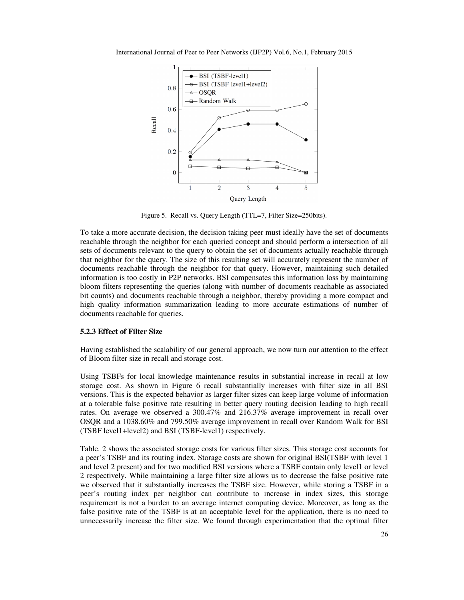

International Journal of Peer to Peer Networks (IJP2P) Vol.6, No.1, February 2015

Figure 5. Recall vs. Query Length (TTL=7, Filter Size=250bits).

To take a more accurate decision, the decision taking peer must ideally have the set of documents reachable through the neighbor for each queried concept and should perform a intersection of all sets of documents relevant to the query to obtain the set of documents actually reachable through that neighbor for the query. The size of this resulting set will accurately represent the number of documents reachable through the neighbor for that query. However, maintaining such detailed information is too costly in P2P networks. BSI compensates this information loss by maintaining bloom filters representing the queries (along with number of documents reachable as associated bit counts) and documents reachable through a neighbor, thereby providing a more compact and high quality information summarization leading to more accurate estimations of number of documents reachable for queries.

#### **5.2.3 Effect of Filter Size**

Having established the scalability of our general approach, we now turn our attention to the effect of Bloom filter size in recall and storage cost.

Using TSBFs for local knowledge maintenance results in substantial increase in recall at low storage cost. As shown in Figure 6 recall substantially increases with filter size in all BSI versions. This is the expected behavior as larger filter sizes can keep large volume of information at a tolerable false positive rate resulting in better query routing decision leading to high recall rates. On average we observed a 300.47% and 216.37% average improvement in recall over OSQR and a 1038.60% and 799.50% average improvement in recall over Random Walk for BSI (TSBF level1+level2) and BSI (TSBF-level1) respectively.

Table. 2 shows the associated storage costs for various filter sizes. This storage cost accounts for a peer's TSBF and its routing index. Storage costs are shown for original BSI(TSBF with level 1 and level 2 present) and for two modified BSI versions where a TSBF contain only level1 or level 2 respectively. While maintaining a large filter size allows us to decrease the false positive rate we observed that it substantially increases the TSBF size. However, while storing a TSBF in a peer's routing index per neighbor can contribute to increase in index sizes, this storage requirement is not a burden to an average internet computing device. Moreover, as long as the false positive rate of the TSBF is at an acceptable level for the application, there is no need to unnecessarily increase the filter size. We found through experimentation that the optimal filter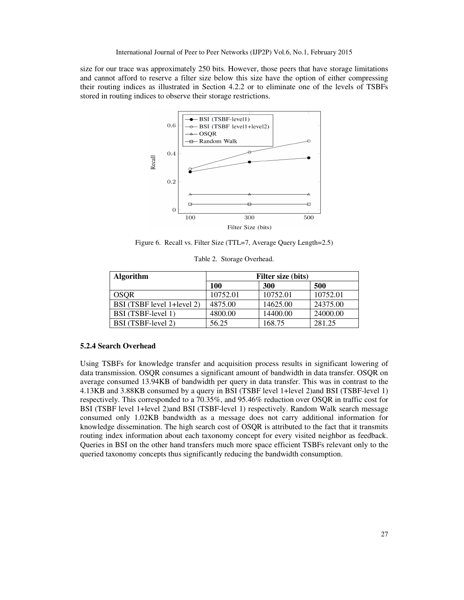size for our trace was approximately 250 bits. However, those peers that have storage limitations and cannot afford to reserve a filter size below this size have the option of either compressing their routing indices as illustrated in Section 4.2.2 or to eliminate one of the levels of TSBFs stored in routing indices to observe their storage restrictions.



Figure 6. Recall vs. Filter Size (TTL=7, Average Query Length=2.5)

| <b>Algorithm</b>           | Filter size (bits) |          |          |
|----------------------------|--------------------|----------|----------|
|                            | 100                | 300      | 500      |
| <b>OSOR</b>                | 10752.01           | 10752.01 | 10752.01 |
| BSI (TSBF level 1+level 2) | 4875.00            | 14625.00 | 24375.00 |
| BSI (TSBF-level 1)         | 4800.00            | 14400.00 | 24000.00 |
| BSI (TSBF-level 2)         | 56.25              | 168.75   | 281.25   |

Table 2. Storage Overhead.

#### **5.2.4 Search Overhead**

Using TSBFs for knowledge transfer and acquisition process results in significant lowering of data transmission. OSQR consumes a significant amount of bandwidth in data transfer. OSQR on average consumed 13.94KB of bandwidth per query in data transfer. This was in contrast to the 4.13KB and 3.88KB consumed by a query in BSI (TSBF level 1+level 2)and BSI (TSBF-level 1) respectively. This corresponded to a 70.35%, and 95.46% reduction over OSQR in traffic cost for BSI (TSBF level 1+level 2)and BSI (TSBF-level 1) respectively. Random Walk search message consumed only 1.02KB bandwidth as a message does not carry additional information for knowledge dissemination. The high search cost of OSQR is attributed to the fact that it transmits routing index information about each taxonomy concept for every visited neighbor as feedback. Queries in BSI on the other hand transfers much more space efficient TSBFs relevant only to the queried taxonomy concepts thus significantly reducing the bandwidth consumption.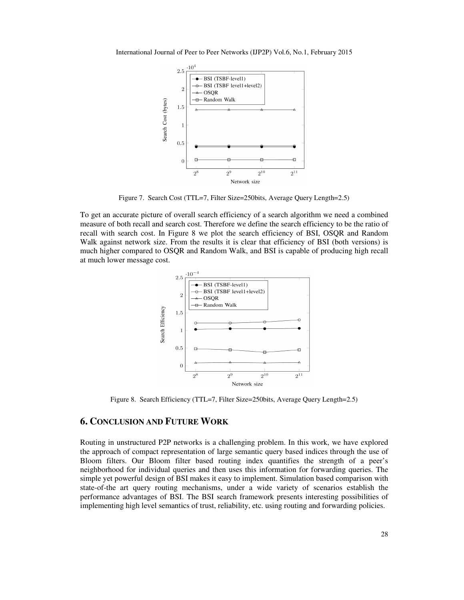



Figure 7. Search Cost (TTL=7, Filter Size=250bits, Average Query Length=2.5)

To get an accurate picture of overall search efficiency of a search algorithm we need a combined measure of both recall and search cost. Therefore we define the search efficiency to be the ratio of recall with search cost. In Figure 8 we plot the search efficiency of BSI, OSQR and Random Walk against network size. From the results it is clear that efficiency of BSI (both versions) is much higher compared to OSQR and Random Walk, and BSI is capable of producing high recall at much lower message cost.



Figure 8. Search Efficiency (TTL=7, Filter Size=250bits, Average Query Length=2.5)

## **6. CONCLUSION AND FUTURE WORK**

Routing in unstructured P2P networks is a challenging problem. In this work, we have explored the approach of compact representation of large semantic query based indices through the use of Bloom filters. Our Bloom filter based routing index quantifies the strength of a peer's neighborhood for individual queries and then uses this information for forwarding queries. The simple yet powerful design of BSI makes it easy to implement. Simulation based comparison with state-of-the art query routing mechanisms, under a wide variety of scenarios establish the performance advantages of BSI. The BSI search framework presents interesting possibilities of implementing high level semantics of trust, reliability, etc. using routing and forwarding policies.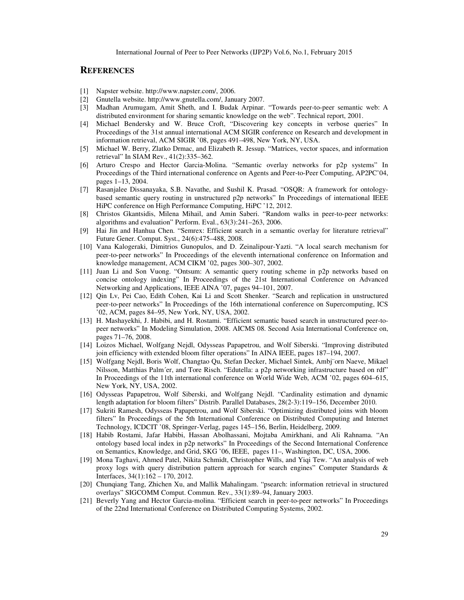## **REFERENCES**

- [1] Napster website. http://www.napster.com/, 2006.
- [2] Gnutella website. http://www.gnutella.com/, January 2007.
- [3] Madhan Arumugam, Amit Sheth, and I. Budak Arpinar. "Towards peer-to-peer semantic web: A distributed environment for sharing semantic knowledge on the web". Technical report, 2001.
- [4] Michael Bendersky and W. Bruce Croft, "Discovering key concepts in verbose queries" In Proceedings of the 31st annual international ACM SIGIR conference on Research and development in information retrieval, ACM SIGIR '08, pages 491–498, New York, NY, USA.
- [5] Michael W. Berry, Zlatko Drmac, and Elizabeth R. Jessup. "Matrices, vector spaces, and information retrieval" In SIAM Rev., 41(2):335–362.
- [6] Arturo Crespo and Hector Garcia-Molina. "Semantic overlay networks for p2p systems" In Proceedings of the Third international conference on Agents and Peer-to-Peer Computing, AP2PC'04, pages 1–13, 2004.
- [7] Rasanjalee Dissanayaka, S.B. Navathe, and Sushil K. Prasad. "OSQR: A framework for ontologybased semantic query routing in unstructured p2p networks" In Proceedings of international IEEE HiPC conference on High Performance Computing, HiPC '12, 2012.
- [8] Christos Gkantsidis, Milena Mihail, and Amin Saberi. "Random walks in peer-to-peer networks: algorithms and evaluation" Perform. Eval., 63(3):241–263, 2006.
- [9] Hai Jin and Hanhua Chen. "Semrex: Efficient search in a semantic overlay for literature retrieval" Future Gener. Comput. Syst., 24(6):475–488, 2008.
- [10] Vana Kalogeraki, Dimitrios Gunopulos, and D. Zeinalipour-Yazti. "A local search mechanism for peer-to-peer networks" In Proceedings of the eleventh international conference on Information and knowledge management, ACM CIKM '02, pages 300–307, 2002.
- [11] Juan Li and Son Vuong. "Ontsum: A semantic query routing scheme in p2p networks based on concise ontology indexing" In Proceedings of the 21st International Conference on Advanced Networking and Applications, IEEE AINA '07, pages 94–101, 2007.
- [12] Qin Lv, Pei Cao, Edith Cohen, Kai Li and Scott Shenker. "Search and replication in unstructured peer-to-peer networks" In Proceedings of the 16th international conference on Supercomputing, ICS '02, ACM, pages 84–95, New York, NY, USA, 2002.
- [13] H. Mashayekhi, J. Habibi, and H. Rostami. "Efficient semantic based search in unstructured peer-topeer networks" In Modeling Simulation, 2008. AICMS 08. Second Asia International Conference on, pages 71–76, 2008.
- [14] Loizos Michael, Wolfgang Nejdl, Odysseas Papapetrou, and Wolf Siberski. "Improving distributed join efficiency with extended bloom filter operations" In AINA IEEE, pages 187–194, 2007.
- [15] Wolfgang Nejdl, Boris Wolf, Changtao Qu, Stefan Decker, Michael Sintek, Ambj¨orn Naeve, Mikael Nilsson, Matthias Palm´er, and Tore Risch. "Edutella: a p2p networking infrastructure based on rdf" In Proceedings of the 11th international conference on World Wide Web, ACM '02, pages 604–615, New York, NY, USA, 2002.
- [16] Odysseas Papapetrou, Wolf Siberski, and Wolfgang Nejdl. "Cardinality estimation and dynamic length adaptation for bloom filters" Distrib. Parallel Databases, 28(2-3):119–156, December 2010.
- [17] Sukriti Ramesh, Odysseas Papapetrou, and Wolf Siberski. "Optimizing distributed joins with bloom filters" In Proceedings of the 5th International Conference on Distributed Computing and Internet Technology, ICDCIT '08, Springer-Verlag, pages 145–156, Berlin, Heidelberg, 2009.
- [18] Habib Rostami, Jafar Habibi, Hassan Abolhassani, Mojtaba Amirkhani, and Ali Rahnama. "An ontology based local index in p2p networks" In Proceedings of the Second International Conference on Semantics, Knowledge, and Grid, SKG '06, IEEE, pages 11–, Washington, DC, USA, 2006.
- [19] Mona Taghavi, Ahmed Patel, Nikita Schmidt, Christopher Wills, and Yiqi Tew. "An analysis of web proxy logs with query distribution pattern approach for search engines" Computer Standards & Interfaces, 34(1):162 – 170, 2012.
- [20] Chunqiang Tang, Zhichen Xu, and Mallik Mahalingam. "psearch: information retrieval in structured overlays" SIGCOMM Comput. Commun. Rev., 33(1):89–94, January 2003.
- [21] Beverly Yang and Hector Garcia-molina. "Efficient search in peer-to-peer networks" In Proceedings of the 22nd International Conference on Distributed Computing Systems, 2002.